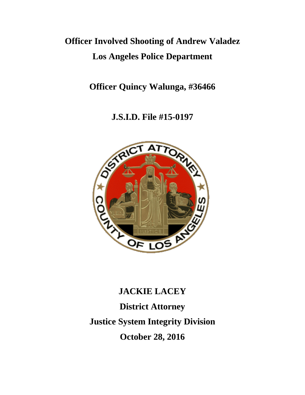# **Officer Involved Shooting of Andrew Valadez Los Angeles Police Department**

**Officer Quincy Walunga, #36466**

**J.S.I.D. File #15-0197**



# **JACKIE LACEY District Attorney Justice System Integrity Division October 28, 2016**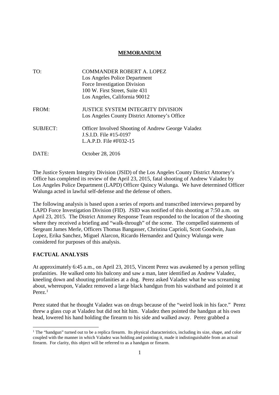# **MEMORANDUM**

| TO:             | <b>COMMANDER ROBERT A. LOPEZ</b>                          |
|-----------------|-----------------------------------------------------------|
|                 | Los Angeles Police Department                             |
|                 | Force Investigation Division                              |
|                 | 100 W. First Street, Suite 431                            |
|                 | Los Angeles, California 90012                             |
| FROM:           | <b>JUSTICE SYSTEM INTEGRITY DIVISION</b>                  |
|                 | Los Angeles County District Attorney's Office             |
| <b>SUBJECT:</b> | <b>Officer Involved Shooting of Andrew George Valadez</b> |
|                 | J.S.I.D. File #15-0197                                    |
|                 | L.A.P.D. File #F032-15                                    |
| DATE:           | October 28, 2016                                          |

The Justice System Integrity Division (JSID) of the Los Angeles County District Attorney's Office has completed its review of the April 23, 2015, fatal shooting of Andrew Valadez by Los Angeles Police Department (LAPD) Officer Quincy Walunga. We have determined Officer Walunga acted in lawful self-defense and the defense of others.

The following analysis is based upon a series of reports and transcribed interviews prepared by LAPD Force Investigation Division (FID). JSID was notified of this shooting at 7:50 a.m. on April 23, 2015. The District Attorney Response Team responded to the location of the shooting where they received a briefing and "walk-through" of the scene. The compelled statements of Sergeant James Merle, Officers Thomas Bangasser, Christina Caprioli, Scott Goodwin, Juan Lopez, Erika Sanchez, Miguel Alarcon, Ricardo Hernandez and Quincy Walunga were considered for purposes of this analysis.

## **FACTUAL ANALYSIS**

At approximately 6:45 a.m., on April 23, 2015, Vincent Perez was awakened by a person yelling profanities. He walked onto his balcony and saw a man, later identified as Andrew Valadez, kneeling down and shouting profanities at a dog. Perez asked Valadez what he was screaming about, whereupon, Valadez removed a large black handgun from his waistband and pointed it at Perez<sup>1</sup>

Perez stated that he thought Valadez was on drugs because of the "weird look in his face." Perez threw a glass cup at Valadez but did not hit him. Valadez then pointed the handgun at his own head, lowered his hand holding the firearm to his side and walked away. Perez grabbed a

<sup>&</sup>lt;sup>1</sup> The "handgun" turned out to be a replica firearm. Its physical characteristics, including its size, shape, and color coupled with the manner in which Valadez was holding and pointing it, made it indistinguishable from an actual firearm. For clarity, this object will be referred to as a handgun or firearm.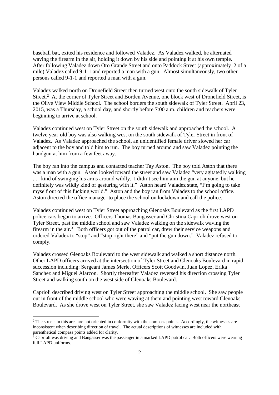baseball bat, exited his residence and followed Valadez. As Valadez walked, he alternated waving the firearm in the air, holding it down by his side and pointing it at his own temple. After following Valadez down Oro Grande Street and onto Paddock Street (approximately .2 of a mile) Valadez called 9-1-1 and reported a man with a gun. Almost simultaneously, two other persons called 9-1-1 and reported a man with a gun.

Valadez walked north on Dronefield Street then turned west onto the south sidewalk of Tyler Street.<sup>2</sup> At the corner of Tyler Street and Borden Avenue, one block west of Dronefield Street, is the Olive View Middle School. The school borders the south sidewalk of Tyler Street. April 23, 2015, was a Thursday, a school day, and shortly before 7:00 a.m. children and teachers were beginning to arrive at school.

Valadez continued west on Tyler Street on the south sidewalk and approached the school. A twelve year-old boy was also walking west on the south sidewalk of Tyler Street in front of Valadez. As Valadez approached the school, an unidentified female driver slowed her car adjacent to the boy and told him to run. The boy turned around and saw Valadez pointing the handgun at him from a few feet away.

The boy ran into the campus and contacted teacher Tay Aston. The boy told Aston that there was a man with a gun. Aston looked toward the street and saw Valadez "very agitatedly walking . . . kind of swinging his arms around wildly. I didn't see him aim the gun at anyone, but he definitely was wildly kind of gesturing with it." Aston heard Valadez state, "I'm going to take myself out of this fucking world." Aston and the boy ran from Valadez to the school office. Aston directed the office manager to place the school on lockdown and call the police.

Valadez continued west on Tyler Street approaching Glenoaks Boulevard as the first LAPD police cars began to arrive. Officers Thomas Bangasser and Christina Caprioli drove west on Tyler Street, past the middle school and saw Valadez walking on the sidewalk waving the firearm in the air. $3$  Both officers got out of the patrol car, drew their service weapons and ordered Valadez to "stop" and "stop right there" and "put the gun down." Valadez refused to comply.

Valadez crossed Glenoaks Boulevard to the west sidewalk and walked a short distance north. Other LAPD officers arrived at the intersection of Tyler Street and Glenoaks Boulevard in rapid succession including: Sergeant James Merle, Officers Scott Goodwin, Juan Lopez, Erika Sanchez and Miguel Alarcon. Shortly thereafter Valadez reversed his direction crossing Tyler Street and walking south on the west side of Glenoaks Boulevard.

Caprioli described driving west on Tyler Street approaching the middle school. She saw people out in front of the middle school who were waving at them and pointing west toward Glenoaks Boulevard. As she drove west on Tyler Street, she saw Valadez facing west near the northeast

<sup>&</sup>lt;sup>2</sup> The streets in this area are not oriented in conformity with the compass points. Accordingly, the witnesses are inconsistent when describing direction of travel. The actual descriptions of witnesses are included with parenthetical compass points added for clarity.

<sup>&</sup>lt;sup>3</sup> Caprioli was driving and Bangasser was the passenger in a marked LAPD patrol car. Both officers were wearing full LAPD uniforms.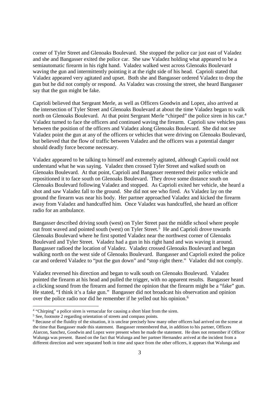corner of Tyler Street and Glenoaks Boulevard. She stopped the police car just east of Valadez and she and Bangasser exited the police car. She saw Valadez holding what appeared to be a semiautomatic firearm in his right hand. Valadez walked west across Glenoaks Boulevard waving the gun and intermittently pointing it at the right side of his head. Caprioli stated that Valadez appeared very agitated and upset. Both she and Bangasser ordered Valadez to drop the gun but he did not comply or respond. As Valadez was crossing the street, she heard Bangasser say that the gun might be fake.

Caprioli believed that Sergeant Merle, as well as Officers Goodwin and Lopez, also arrived at the intersection of Tyler Street and Glenoaks Boulevard at about the time Valadez began to walk north on Glenoaks Boulevard. At that point Sergeant Merle "chirped" the police siren in his car.<sup>4</sup> Valadez turned to face the officers and continued waving the firearm. Caprioli saw vehicles pass between the position of the officers and Valadez along Glenoaks Boulevard. She did not see Valadez point the gun at any of the officers or vehicles that were driving on Glenoaks Boulevard, but believed that the flow of traffic between Valadez and the officers was a potential danger should deadly force become necessary.

Valadez appeared to be talking to himself and extremely agitated, although Caprioli could not understand what he was saying. Valadez then crossed Tyler Street and walked south on Glenoaks Boulevard. At that point, Caprioli and Bangasser reentered their police vehicle and repositioned it to face south on Glenoaks Boulevard. They drove some distance south on Glenoaks Boulevard following Valadez and stopped. As Caprioli exited her vehicle, she heard a shot and saw Valadez fall to the ground. She did not see who fired. As Valadez lay on the ground the firearm was near his body. Her partner approached Valadez and kicked the firearm away from Valadez and handcuffed him. Once Valadez was handcuffed, she heard an officer radio for an ambulance.

Bangasser described driving south (west) on Tyler Street past the middle school where people out front waved and pointed south (west) on Tyler Street.<sup>5</sup> He and Caprioli drove towards Glenoaks Boulevard where he first spotted Valadez near the northwest corner of Glenoaks Boulevard and Tyler Street. Valadez had a gun in his right hand and was waving it around. Bangasser radioed the location of Valadez. Valadez crossed Glenoaks Boulevard and began walking north on the west side of Glenoaks Boulevard. Bangasser and Caprioli exited the police car and ordered Valadez to "put the gun down" and "stop right there." Valadez did not comply.

Valadez reversed his direction and began to walk south on Glenoaks Boulevard. Valadez pointed the firearm at his head and pulled the trigger, with no apparent results. Bangasser heard a clicking sound from the firearm and formed the opinion that the firearm might be a "fake" gun. He stated, "I think it's a fake gun." Bangasser did not broadcast his observation and opinion over the police radio nor did he remember if he yelled out his opinion.<sup>6</sup>

<sup>&</sup>lt;sup>4</sup> "Chirping" a police siren is vernacular for causing a short blast from the siren.

<sup>5</sup> See, footnote 2 regarding orientation of streets and compass points.

<sup>6</sup> Because of the fluidity of the situation, it is unclear precisely how many other officers had arrived on the scene at the time that Bangasser made this statement. Bangasser remembered that, in addition to his partner, Officers Alarcon, Sanchez, Goodwin and Lopez were present when he made the statement. He does not remember if Officer Walunga was present. Based on the fact that Walunga and her partner Hernandez arrived at the incident from a different direction and were separated both in time and space from the other officers, it appears that Walunga and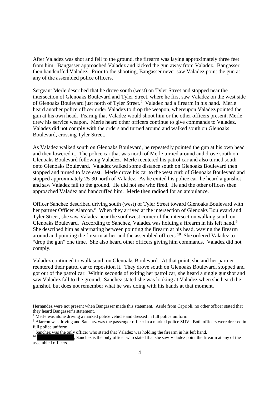After Valadez was shot and fell to the ground, the firearm was laying approximately three feet from him. Bangasser approached Valadez and kicked the gun away from Valadez. Bangasser then handcuffed Valadez. Prior to the shooting, Bangasser never saw Valadez point the gun at any of the assembled police officers.

Sergeant Merle described that he drove south (west) on Tyler Street and stopped near the intersection of Glenoaks Boulevard and Tyler Street, where he first saw Valadez on the west side of Glenoaks Boulevard just north of Tyler Street.<sup>7</sup> Valadez had a firearm in his hand. Merle heard another police officer order Valadez to drop the weapon, whereupon Valadez pointed the gun at his own head. Fearing that Valadez would shoot him or the other officers present, Merle drew his service weapon. Merle heard other officers continue to give commands to Valadez. Valadez did not comply with the orders and turned around and walked south on Glenoaks Boulevard, crossing Tyler Street.

As Valadez walked south on Glenoaks Boulevard, he repeatedly pointed the gun at his own head and then lowered it. The police car that was north of Merle turned around and drove south on Glenoaks Boulevard following Valadez. Merle reentered his patrol car and also turned south onto Glenoaks Boulevard. Valadez walked some distance south on Glenoaks Boulevard then stopped and turned to face east. Merle drove his car to the west curb of Glenoaks Boulevard and stopped approximately 25-30 north of Valadez. As he exited his police car, he heard a gunshot and saw Valadez fall to the ground. He did not see who fired. He and the other officers then approached Valadez and handcuffed him. Merle then radioed for an ambulance.

Officer Sanchez described driving south (west) of Tyler Street toward Glenoaks Boulevard with her partner Officer Alarcon.<sup>8</sup> When they arrived at the intersection of Glenoaks Boulevard and Tyler Street, she saw Valadez near the southwest corner of the intersection walking south on Glenoaks Boulevard. According to Sanchez, Valadez was holding a firearm in his left hand.<sup>9</sup> She described him as alternating between pointing the firearm at his head, waving the firearm around and pointing the firearm at her and the assembled officers.<sup>10</sup> She ordered Valadez to "drop the gun" one time. She also heard other officers giving him commands. Valadez did not comply.

Valadez continued to walk south on Glenoaks Boulevard. At that point, she and her partner reentered their patrol car to reposition it. They drove south on Glenoaks Boulevard, stopped and got out of the patrol car. Within seconds of exiting her patrol car, she heard a single gunshot and saw Valadez fall to the ground. Sanchez stated she was looking at Valadez when she heard the gunshot, but does not remember what he was doing with his hands at that moment.

Hernandez were not present when Bangasser made this statement. Aside from Caprioli, no other officer stated that they heard Bangasser's statement.

<sup>&</sup>lt;sup>7</sup> Merle was alone driving a marked police vehicle and dressed in full police uniform.

<sup>&</sup>lt;sup>8</sup> Alarcon was driving and Sanchez was the passenger officer in a marked police SUV. Both officers were dressed in full police uniform.

 $9 \text{ Sanehez}$  was the only officer who stated that Valadez was holding the firearm in his left hand.

<sup>,</sup> Sanchez is the only officer who stated that she saw Valadez point the firearm at any of the assembled officers.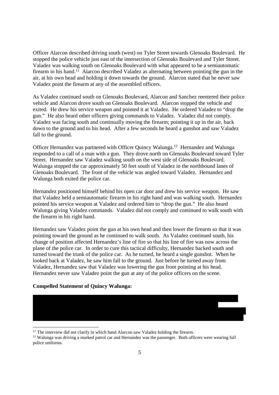Officer Alarcon described driving south (west) on Tyler Street towards Glenoaks Boulevard. He stopped the police vehicle just east of the intersection of Glenoaks Boulevard and Tyler Street. Valadez was walking south on Glenoaks Boulevard with what appeared to be a semiautomatic firearm in his hand.<sup>11</sup> Alarcon described Valadez as alternating between pointing the gun in the air, at his own head and holding it down towards the ground. Alarcon stated that he never saw Valadez point the firearm at any of the assembled officers.

As Valadez continued south on Glenoaks Boulevard, Alarcon and Sanchez reentered their police vehicle and Alarcon drove south on Glenoaks Boulevard. Alarcon stopped the vehicle and exited. He drew his service weapon and pointed it at Valadez. He ordered Valadez to "drop the gun." He also heard other officers giving commands to Valadez. Valadez did not comply. Valadez was facing south and continually moving the firearm; pointing it up in the air, back down to the ground and to his head. After a few seconds he heard a gunshot and saw Valadez fall to the ground.

Officer Hernandez was partnered with Officer Quincy Walunga.<sup>12</sup> Hernandez and Walunga responded to a call of a man with a gun. They drove north on Glenoaks Boulevard toward Tyler Street. Hernandez saw Valadez walking south on the west side of Glenoaks Boulevard. Walunga stopped the car approximately 50 feet south of Valadez in the northbound lanes of Glenoaks Boulevard. The front of the vehicle was angled toward Valadez. Hernandez and Walunga both exited the police car.

Hernandez positioned himself behind his open car door and drew his service weapon. He saw that Valadez held a semiautomatic firearm in his right hand and was walking south. Hernandez pointed his service weapon at Valadez and ordered him to "drop the gun." He also heard Walunga giving Valadez commands. Valadez did not comply and continued to walk south with the firearm in his right hand.

Hernandez saw Valadez point the gun at his own head and then lower the firearm so that it was pointing toward the ground as he continued to walk south. As Valadez continued south, his change of position affected Hernandez's line of fire so that his line of fire was now across the plane of the police car. In order to cure this tactical difficulty, Hernandez backed south and turned toward the trunk of the police car. As he turned, he heard a single gunshot. When he looked back at Valadez, he saw him fall to the ground. Just before he turned away from Valadez, Hernandez saw that Valadez was lowering the gun from pointing at his head. Hernandez never saw Valadez point the gun at any of the police officers on the scene.

#### **Compelled Statement of Quincy Walunga:**



<sup>12</sup> Walunga was driving a marked patrol car and Hernandez was the passenger. Both officers were wearing full police uniforms.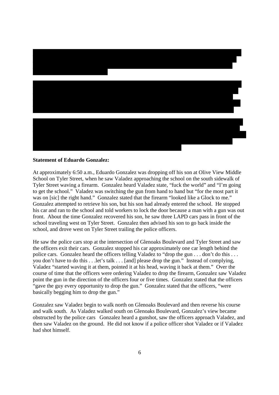

#### **Statement of Eduardo Gonzalez:**

At approximately 6:50 a.m., Eduardo Gonzalez was dropping off his son at Olive View Middle School on Tyler Street, when he saw Valadez approaching the school on the south sidewalk of Tyler Street waving a firearm. Gonzalez heard Valadez state, "fuck the world" and "I'm going to get the school." Valadez was switching the gun from hand to hand but "for the most part it was on [sic] the right hand." Gonzalez stated that the firearm "looked like a Glock to me." Gonzalez attempted to retrieve his son, but his son had already entered the school. He stopped his car and ran to the school and told workers to lock the door because a man with a gun was out front. About the time Gonzalez recovered his son, he saw three LAPD cars pass in front of the school traveling west on Tyler Street. Gonzalez then advised his son to go back inside the school, and drove west on Tyler Street trailing the police officers.

He saw the police cars stop at the intersection of Glenoaks Boulevard and Tyler Street and saw the officers exit their cars. Gonzalez stopped his car approximately one car length behind the police cars. Gonzalez heard the officers telling Valadez to "drop the gun . . . don't do this . . . you don't have to do this . . .let's talk . . . [and] please drop the gun." Instead of complying, Valadez "started waving it at them, pointed it at his head, waving it back at them." Over the course of time that the officers were ordering Valadez to drop the firearm, Gonzalez saw Valadez point the gun in the direction of the officers four or five times. Gonzalez stated that the officers "gave the guy every opportunity to drop the gun." Gonzalez stated that the officers, "were basically begging him to drop the gun."

Gonzalez saw Valadez begin to walk north on Glenoaks Boulevard and then reverse his course and walk south. As Valadez walked south on Glenoaks Boulevard, Gonzalez's view became obstructed by the police cars Gonzalez heard a gunshot, saw the officers approach Valadez, and then saw Valadez on the ground. He did not know if a police officer shot Valadez or if Valadez had shot himself.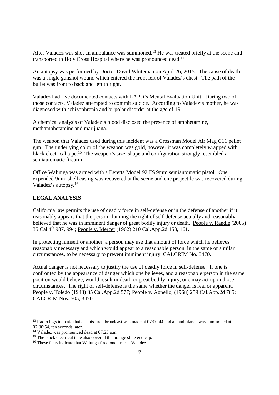After Valadez was shot an ambulance was summoned.<sup>13</sup> He was treated briefly at the scene and transported to Holy Cross Hospital where he was pronounced dead.<sup>14</sup>

An autopsy was performed by Doctor David Whiteman on April 26, 2015. The cause of death was a single gunshot wound which entered the front left of Valadez's chest. The path of the bullet was front to back and left to right.

Valadez had five documented contacts with LAPD's Mental Evaluation Unit. During two of those contacts, Valadez attempted to commit suicide. According to Valadez's mother, he was diagnosed with schizophrenia and bi-polar disorder at the age of 19.

A chemical analysis of Valadez's blood disclosed the presence of amphetamine, methamphetamine and marijuana.

The weapon that Valadez used during this incident was a Crossman Model Air Mag C11 pellet gun. The underlying color of the weapon was gold, however it was completely wrapped with black electrical tape.<sup>15</sup> The weapon's size, shape and configuration strongly resembled a semiautomatic firearm.

Office Walunga was armed with a Beretta Model 92 FS 9mm semiautomatic pistol. One expended 9mm shell casing was recovered at the scene and one projectile was recovered during Valadez's autopsy.<sup>16</sup>

### **LEGAL ANALYSIS**

California law permits the use of deadly force in self-defense or in the defense of another if it reasonably appears that the person claiming the right of self-defense actually and reasonably believed that he was in imminent danger of great bodily injury or death. People v. Randle (2005) 35 Cal.4th 987, 994; People v. Mercer (1962) 210 Cal.App.2d 153, 161.

In protecting himself or another, a person may use that amount of force which he believes reasonably necessary and which would appear to a reasonable person, in the same or similar circumstances, to be necessary to prevent imminent injury. CALCRIM No. 3470.

Actual danger is not necessary to justify the use of deadly force in self-defense. If one is confronted by the appearance of danger which one believes, and a reasonable person in the same position would believe, would result in death or great bodily injury, one may act upon those circumstances. The right of self-defense is the same whether the danger is real or apparent. People v. Toledo (1948) 85 Cal.App.2d 577; People v. Agnello, (1968) 259 Cal.App.2d 785; CALCRIM Nos. 505, 3470.

<sup>&</sup>lt;sup>13</sup> Radio logs indicate that a shots fired broadcast was made at 07:00:44 and an ambulance was summoned at 07:00:54, ten seconds later.

<sup>14</sup> Valadez was pronounced dead at 07:25 a.m.

<sup>&</sup>lt;sup>15</sup> The black electrical tape also covered the orange slide end cap.

<sup>&</sup>lt;sup>16</sup> These facts indicate that Walunga fired one time at Valadez.